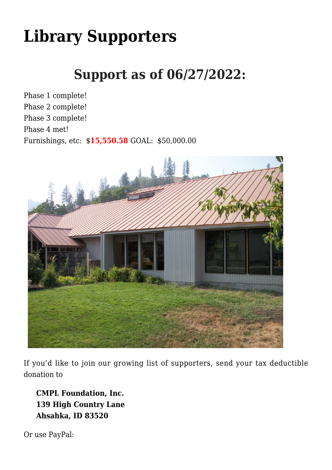# **[Library Supporters](https://www.cmplfoundationinc.org/)**

## **Support as of 06/27/2022:**

Phase 1 complete! Phase 2 complete! Phase 3 complete! Phase 4 met! Furnishings, etc: \$**15,550.58** GOAL: \$50,000.00



If you'd like to join our growing list of supporters, send your tax deductible donation to

**CMPL Foundation, Inc. 139 High Country Lane Ahsahka, ID 83520**

Or use PayPal: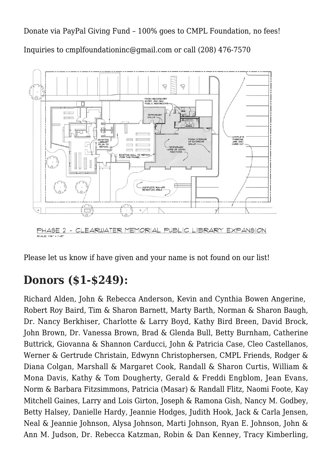[Donate via PayPal Giving Fund – 100% goes to CMPL Foundation, no fees!](https://www.paypal.com/us/fundraiser/charity/1463546) Inquiries to [cmplfoundationinc@gmail.com](mailto:cmplfoundationinc@gmail.com) or call (208) 476-7570



Please let us know if have given and your name is not found on our list!

#### **Donors (\$1-\$249):**

Richard Alden, John & Rebecca Anderson, Kevin and Cynthia Bowen Angerine, Robert Roy Baird, Tim & Sharon Barnett, Marty Barth, Norman & Sharon Baugh, Dr. Nancy Berkhiser, Charlotte & Larry Boyd, Kathy Bird Breen, David Brock, John Brown, Dr. Vanessa Brown, Brad & Glenda Bull, Betty Burnham, Catherine Buttrick, Giovanna & Shannon Carducci, John & Patricia Case, Cleo Castellanos, Werner & Gertrude Christain, Edwynn Christophersen, CMPL Friends, Rodger & Diana Colgan, Marshall & Margaret Cook, Randall & Sharon Curtis, William & Mona Davis, Kathy & Tom Dougherty, Gerald & Freddi Engblom, Jean Evans, Norm & Barbara Fitzsimmons, Patricia (Masar) & Randall Flitz, Naomi Foote, Kay Mitchell Gaines, Larry and Lois Girton, Joseph & Ramona Gish, Nancy M. Godbey, Betty Halsey, Danielle Hardy, Jeannie Hodges, Judith Hook, Jack & Carla Jensen, Neal & Jeannie Johnson, Alysa Johnson, Marti Johnson, Ryan E. Johnson, John & Ann M. Judson, Dr. Rebecca Katzman, Robin & Dan Kenney, Tracy Kimberling,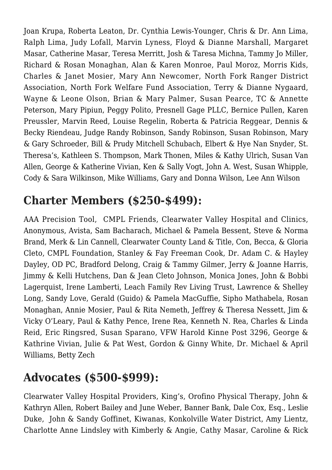Joan Krupa, Roberta Leaton, Dr. Cynthia Lewis-Younger, Chris & Dr. Ann Lima, Ralph Lima, Judy Lofall, Marvin Lyness, Floyd & Dianne Marshall, Margaret Masar, Catherine Masar, Teresa Merritt, Josh & Taresa Michna, Tammy Jo Miller, Richard & Rosan Monaghan, Alan & Karen Monroe, Paul Moroz, Morris Kids, Charles & Janet Mosier, Mary Ann Newcomer, North Fork Ranger District Association, North Fork Welfare Fund Association, Terry & Dianne Nygaard, Wayne & Leone Olson, Brian & Mary Palmer, Susan Pearce, TC & Annette Peterson, Mary Pipiun, Peggy Polito, Presnell Gage PLLC, Bernice Pullen, Karen Preussler, Marvin Reed, Louise Regelin, Roberta & Patricia Reggear, Dennis & Becky Riendeau, Judge Randy Robinson, Sandy Robinson, Susan Robinson, Mary & Gary Schroeder, Bill & Prudy Mitchell Schubach, Elbert & Hye Nan Snyder, St. Theresa's, Kathleen S. Thompson, Mark Thonen, Miles & Kathy Ulrich, Susan Van Allen, George & Katherine Vivian, Ken & Sally Vogt, John A. West, Susan Whipple, Cody & Sara Wilkinson, Mike Williams, Gary and Donna Wilson, Lee Ann Wilson

#### **Charter Members (\$250-\$499):**

AAA Precision Tool, CMPL Friends, Clearwater Valley Hospital and Clinics, Anonymous, Avista, Sam Bacharach, Michael & Pamela Bessent, Steve & Norma Brand, Merk & Lin Cannell, Clearwater County Land & Title, Con, Becca, & Gloria Cleto, CMPL Foundation, Stanley & Fay Freeman Cook, Dr. Adam C. & Hayley Dayley, OD PC, Bradford Delong, Craig & Tammy Gilmer, Jerry & Joanne Harris, Jimmy & Kelli Hutchens, Dan & Jean Cleto Johnson, Monica Jones, John & Bobbi Lagerquist, Irene Lamberti, Leach Family Rev Living Trust, Lawrence & Shelley Long, Sandy Love, Gerald (Guido) & Pamela MacGuffie, Sipho Mathabela, Rosan Monaghan, Annie Mosier, Paul & Rita Nemeth, Jeffrey & Theresa Nessett, Jim & Vicky O'Leary, Paul & Kathy Pence, Irene Rea, Kenneth N. Rea, Charles & Linda Reid, Eric Ringsred, Susan Sparano, VFW Harold Kinne Post 3296, George & Kathrine Vivian, Julie & Pat West, Gordon & Ginny White, Dr. Michael & April Williams, Betty Zech

### **Advocates (\$500-\$999):**

Clearwater Valley Hospital Providers, King's, Orofino Physical Therapy, John & Kathryn Allen, Robert Bailey and June Weber, Banner Bank, Dale Cox, Esq., Leslie Duke, John & Sandy Goffinet, Kiwanas, Konkolville Water District, Amy Lientz, Charlotte Anne Lindsley with Kimberly & Angie, Cathy Masar, Caroline & Rick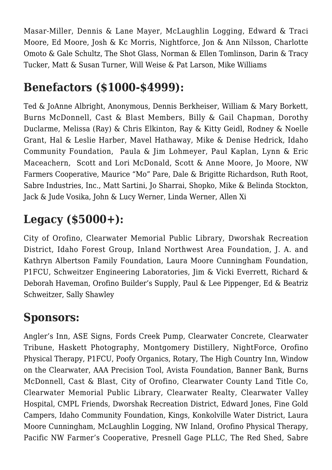Masar-Miller, Dennis & Lane Mayer, McLaughlin Logging, Edward & Traci Moore, Ed Moore, Josh & Kc Morris, Nightforce, Jon & Ann Nilsson, Charlotte Omoto & Gale Schultz, The Shot Glass, Norman & Ellen Tomlinson, Darin & Tracy Tucker, Matt & Susan Turner, Will Weise & Pat Larson, Mike Williams

#### **Benefactors (\$1000-\$4999):**

Ted & JoAnne Albright, Anonymous, Dennis Berkheiser, William & Mary Borkett, Burns McDonnell, Cast & Blast Members, Billy & Gail Chapman, Dorothy Duclarme, Melissa (Ray) & Chris Elkinton, Ray & Kitty Geidl, Rodney & Noelle Grant, Hal & Leslie Harber, Mavel Hathaway, Mike & Denise Hedrick, Idaho Community Foundation, Paula & Jim Lohmeyer, Paul Kaplan, Lynn & Eric Maceachern, Scott and Lori McDonald, Scott & Anne Moore, Jo Moore, NW Farmers Cooperative, Maurice "Mo" Pare, Dale & Brigitte Richardson, Ruth Root, Sabre Industries, Inc., Matt Sartini, Jo Sharrai, Shopko, Mike & Belinda Stockton, Jack & Jude Vosika, John & Lucy Werner, Linda Werner, Allen Xi

## **Legacy (\$5000+):**

City of Orofino, Clearwater Memorial Public Library, Dworshak Recreation District, Idaho Forest Group, Inland Northwest Area Foundation, J. A. and Kathryn Albertson Family Foundation, Laura Moore Cunningham Foundation, P1FCU, Schweitzer Engineering Laboratories, Jim & Vicki Everrett, Richard & Deborah Haveman, Orofino Builder's Supply, Paul & Lee Pippenger, Ed & Beatriz Schweitzer, Sally Shawley

#### **Sponsors:**

Angler's Inn, ASE Signs, Fords Creek Pump, Clearwater Concrete, Clearwater Tribune, Haskett Photography, Montgomery Distillery, NightForce, Orofino Physical Therapy, P1FCU, Poofy Organics, Rotary, The High Country Inn, Window on the Clearwater, AAA Precision Tool, Avista Foundation, Banner Bank, Burns McDonnell, Cast & Blast, City of Orofino, Clearwater County Land Title Co, Clearwater Memorial Public Library, Clearwater Realty, Clearwater Valley Hospital, CMPL Friends, Dworshak Recreation District, Edward Jones, Fine Gold Campers, Idaho Community Foundation, Kings, Konkolville Water District, Laura Moore Cunningham, McLaughlin Logging, NW Inland, Orofino Physical Therapy, Pacific NW Farmer's Cooperative, Presnell Gage PLLC, The Red Shed, Sabre